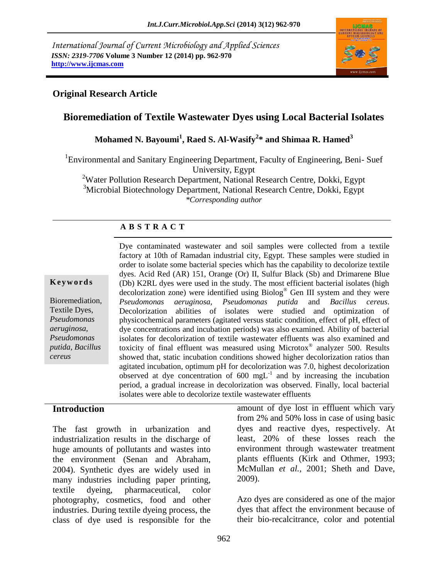*International Journal of Current Microbiology and Applied Sciences ISSN: 2319-7706* **Volume 3 Number 12 (2014) pp. 962-970 http://www.ijcmas.com**



#### **Original Research Article**

# **Bioremediation of Textile Wastewater Dyes using Local Bacterial Isolates**

# **Mohamed N. Bayoumi<sup>1</sup> , Raed S. Al-Wasify<sup>2</sup> \* and Shimaa R. Hamed<sup>3</sup>**

<sup>1</sup>Environmental and Sanitary Engineering Department, Faculty of Engineering, Beni-Suef University, Egypt

<sup>2</sup>Water Pollution Research Department, National Research Centre, Dokki, Egypt

<sup>3</sup>Microbial Biotechnology Department, National Research Centre, Dokki, Egypt

*\*Corresponding author* 

#### **A B S T R A C T**

#### **K e y w o r d s**

Bioremediation, Textile Dyes, *Pseudomonas aeruginosa, Pseudomonas putida*, *Bacillus cereus*

Dye contaminated wastewater and soil samples were collected from a textile factory at 10th of Ramadan industrial city, Egypt. These samples were studied in order to isolate some bacterial species which has the capability to decolorize textile dyes. Acid Red (AR) 151, Orange (Or) II, Sulfur Black (Sb) and Drimarene Blue (Db) K2RL dyes were used in the study. The most efficient bacterial isolates (high decolorization zone) were identified using Biolog® Gen III system and they were *Pseudomonas aeruginosa, Pseudomonas putida* and *Bacillus cereus*. Decolorization abilities of isolates were studied and optimization of physicochemical parameters (agitated versus static condition, effect of pH, effect of dye concentrations and incubation periods) was also examined. Ability of bacterial isolates for decolorization of textile wastewater effluents was also examined and toxicity of final effluent was measured using Microtox® analyzer 500. Results showed that, static incubation conditions showed higher decolorization ratios than agitated incubation, optimum pH for decolorization was 7.0, highest decolorization observed at dye concentration of  $600 \text{ mgL}^{-1}$  and by increasing the incubation period, a gradual increase in decolorization was observed. Finally, local bacterial isolates were able to decolorize textile wastewater effluents

#### **Introduction**

The fast growth in urbanization and industrialization results in the discharge of huge amounts of pollutants and wastes into the environment (Senan and Abraham, 2004). Synthetic dyes are widely used in many industries including paper printing, textile dyeing, pharmaceutical, color photography, cosmetics, food and other industries. During textile dyeing process, the class of dye used is responsible for the

amount of dye lost in effluent which vary from 2% and 50% loss in case of using basic dyes and reactive dyes, respectively. At least, 20% of these losses reach the environment through wastewater treatment plants effluents (Kirk and Othmer, 1993; McMullan *et al.,* 2001; Sheth and Dave, 2009).

Azo dyes are considered as one of the major dyes that affect the environment because of their bio-recalcitrance, color and potential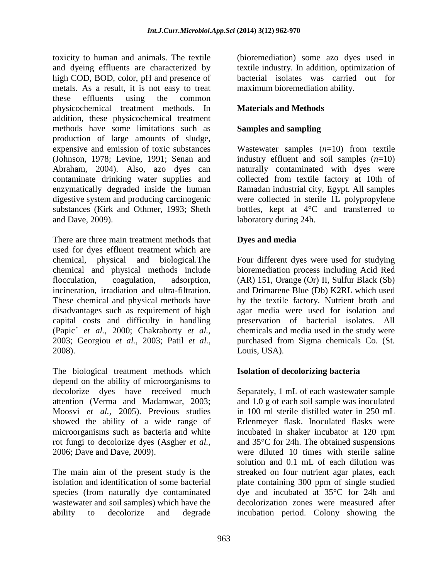toxicity to human and animals. The textile and dyeing effluents are characterized by high COD, BOD, color, pH and presence of metals. As a result, it is not easy to treat these effluents using the common physicochemical treatment methods. In addition, these physicochemical treatment methods have some limitations such as production of large amounts of sludge, expensive and emission of toxic substances (Johnson, 1978; Levine, 1991; Senan and Abraham, 2004). Also, azo dyes can contaminate drinking water supplies and enzymatically degraded inside the human digestive system and producing carcinogenic substances (Kirk and Othmer, 1993; Sheth and Dave, 2009).

There are three main treatment methods that used for dyes effluent treatment which are chemical, physical and biological.The chemical and physical methods include flocculation, coagulation, adsorption, incineration, irradiation and ultra-filtration. These chemical and physical methods have disadvantages such as requirement of high capital costs and difficulty in handling (Papic´ *et al.,* 2000; Chakraborty *et al.,* 2003; Georgiou *et al.,* 2003; Patil *et al.,* 2008).

The biological treatment methods which depend on the ability of microorganisms to decolorize dyes have received much attention (Verma and Madamwar, 2003; Moosvi *et al.,* 2005). Previous studies showed the ability of a wide range of microorganisms such as bacteria and white rot fungi to decolorize dyes (Asgher *et al.,* 2006; Dave and Dave, 2009).

The main aim of the present study is the isolation and identification of some bacterial species (from naturally dye contaminated wastewater and soil samples) which have the ability to decolorize and degrade

(bioremediation) some azo dyes used in textile industry. In addition, optimization of bacterial isolates was carried out for maximum bioremediation ability.

# **Materials and Methods**

# **Samples and sampling**

Wastewater samples (*n*=10) from textile industry effluent and soil samples (*n*=10) naturally contaminated with dyes were collected from textile factory at 10th of Ramadan industrial city, Egypt. All samples were collected in sterile 1L polypropylene bottles, kept at  $4^{\circ}$ C and transferred to laboratory during 24h.

## **Dyes and media**

Four different dyes were used for studying bioremediation process including Acid Red (AR) 151, Orange (Or) II, Sulfur Black (Sb) and Drimarene Blue (Db) K2RL which used by the textile factory. Nutrient broth and agar media were used for isolation and preservation of bacterial isolates. All chemicals and media used in the study were purchased from Sigma chemicals Co. (St. Louis, USA).

## **Isolation of decolorizing bacteria**

Separately, 1 mL of each wastewater sample and 1.0 g of each soil sample was inoculated in 100 ml sterile distilled water in 250 mL Erlenmeyer flask. Inoculated flasks were incubated in shaker incubator at 120 rpm and 35°C for 24h. The obtained suspensions were diluted 10 times with sterile saline solution and 0.1 mL of each dilution was streaked on four nutrient agar plates, each plate containing 300 ppm of single studied dye and incubated at 35°C for 24h and decolorization zones were measured after incubation period. Colony showing the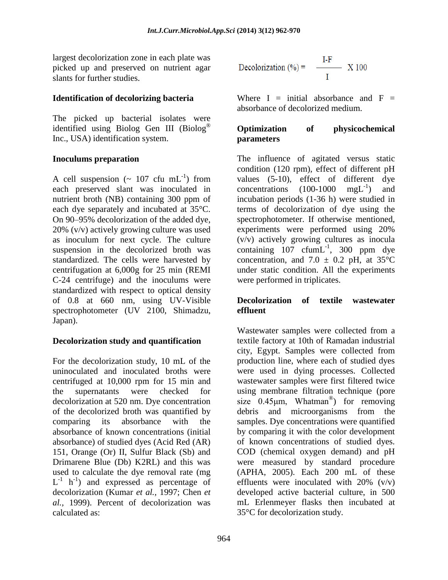largest decolorization zone in each plate was picked up and preserved on nutrient agar slants for further studies.

#### **Identification of decolorizing bacteria**

The picked up bacterial isolates were identified using Biolog Gen III (Biolog® Inc., USA) identification system.

#### **Inoculums preparation**

A cell suspension  $({\sim 107 \text{ cfu mL}^{-1}})$  from each preserved slant was inoculated in nutrient broth (NB) containing 300 ppm of each dye separately and incubated at 35°C. On 90–95% decolorization of the added dye, 20% (v/v) actively growing culture was used as inoculum for next cycle. The culture suspension in the decolorized broth was standardized. The cells were harvested by centrifugation at 6,000g for 25 min (REMI C-24 centrifuge) and the inoculums were standardized with respect to optical density of 0.8 at 660 nm, using UV-Visible spectrophotometer (UV 2100, Shimadzu, Japan).

## **Decolorization study and quantification**

For the decolorization study, 10 mL of the uninoculated and inoculated broths were centrifuged at 10,000 rpm for 15 min and the supernatants were checked for decolorization at 520 nm. Dye concentration of the decolorized broth was quantified by comparing its absorbance with the absorbance of known concentrations (initial absorbance) of studied dyes (Acid Red (AR) 151, Orange (Or) II, Sulfur Black (Sb) and Drimarene Blue (Db) K2RL) and this was used to calculate the dye removal rate (mg  $L^{-1}$  h<sup>-1</sup>) and expressed as percentage of decolorization (Kumar *et al.,* 1997; Chen *et al.,* 1999). Percent of decolorization was calculated as:

Decolorization (%) = 
$$
\frac{I-F}{I} \quad X 100
$$

Where  $I = initial$  absorbance and  $F =$ absorbance of decolorized medium.

#### **Optimization of physicochemical parameters**

The influence of agitated versus static condition (120 rpm), effect of different pH values (5-10), effect of different dye concentrations  $(100-1000 \text{ mgL}^{-1})$ ) and incubation periods (1-36 h) were studied in terms of decolorization of dye using the spectrophotometer. If otherwise mentioned, experiments were performed using 20% (v/v) actively growing cultures as inocula containing  $107 \text{ cfum}$ L<sup>-1</sup>, 300 ppm dye concentration, and 7.0  $\pm$  0.2 pH, at 35°C under static condition. All the experiments were performed in triplicates.

#### **Decolorization of textile wastewater effluent**

Wastewater samples were collected from a textile factory at 10th of Ramadan industrial city, Egypt. Samples were collected from production line, where each of studied dyes were used in dying processes. Collected wastewater samples were first filtered twice using membrane filtration technique (pore size  $0.45 \mu m$ , Whatman<sup>®</sup>) for removing debris and microorganisms from the samples. Dye concentrations were quantified by comparing it with the color development of known concentrations of studied dyes. COD (chemical oxygen demand) and pH were measured by standard procedure (APHA, 2005). Each 200 mL of these effluents were inoculated with  $20\%$  (v/v) developed active bacterial culture, in 500 mL Erlenmeyer flasks then incubated at 35°C for decolorization study.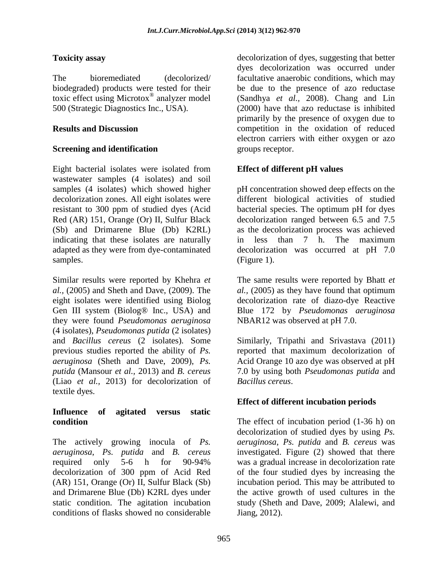## **Toxicity assay**

The bioremediated (decolorized/ biodegraded) products were tested for their toxic effect using Microtox® analyzer model 500 (Strategic Diagnostics Inc., USA).

#### **Results and Discussion**

## **Screening and identification**

Eight bacterial isolates were isolated from wastewater samples (4 isolates) and soil samples (4 isolates) which showed higher decolorization zones. All eight isolates were resistant to 300 ppm of studied dyes (Acid Red (AR) 151, Orange (Or) II, Sulfur Black (Sb) and Drimarene Blue (Db) K2RL) indicating that these isolates are naturally adapted as they were from dye-contaminated samples.

Similar results were reported by Khehra *et al.,* (2005) and Sheth and Dave, (2009). The eight isolates were identified using Biolog Gen III system (Biolog® Inc., USA) and they were found *Pseudomonas aeruginosa*  (4 isolates), *Pseudomonas putida* (2 isolates) and *Bacillus cereus* (2 isolates). Some previous studies reported the ability of *Ps. aeruginosa* (Sheth and Dave, 2009), *Ps. putida* (Mansour *et al.,* 2013) and *B. cereus*  (Liao *et al.,* 2013) for decolorization of textile dyes.

#### **Influence of agitated versus static condition**

The actively growing inocula of *Ps. aeruginosa*, *Ps. putida* and *B. cereus*  required only 5-6 h for 90-94% decolorization of 300 ppm of Acid Red (AR) 151, Orange (Or) II, Sulfur Black (Sb) and Drimarene Blue (Db) K2RL dyes under static condition. The agitation incubation conditions of flasks showed no considerable

decolorization of dyes, suggesting that better dyes decolorization was occurred under facultative anaerobic conditions, which may be due to the presence of azo reductase (Sandhya *et al.,* 2008). Chang and Lin (2000) have that azo reductase is inhibited primarily by the presence of oxygen due to competition in the oxidation of reduced electron carriers with either oxygen or azo groups receptor.

# **Effect of different pH values**

pH concentration showed deep effects on the different biological activities of studied bacterial species. The optimum pH for dyes decolorization ranged between 6.5 and 7.5 as the decolorization process was achieved in less than 7 h. The maximum decolorization was occurred at pH 7.0 (Figure 1).

The same results were reported by Bhatt *et al.,* (2005) as they have found that optimum decolorization rate of diazo-dye Reactive Blue 172 by *Pseudomonas aeruginosa*  NBAR12 was observed at pH 7.0.

Similarly, Tripathi and Srivastava (2011) reported that maximum decolorization of Acid Orange 10 azo dye was observed at pH 7.0 by using both *Pseudomonas putida* and *Bacillus cereus*.

## **Effect of different incubation periods**

The effect of incubation period (1-36 h) on decolorization of studied dyes by using *Ps. aeruginosa*, *Ps. putida* and *B. cereus* was investigated. Figure (2) showed that there was a gradual increase in decolorization rate of the four studied dyes by increasing the incubation period. This may be attributed to the active growth of used cultures in the study (Sheth and Dave, 2009; Alalewi, and Jiang, 2012).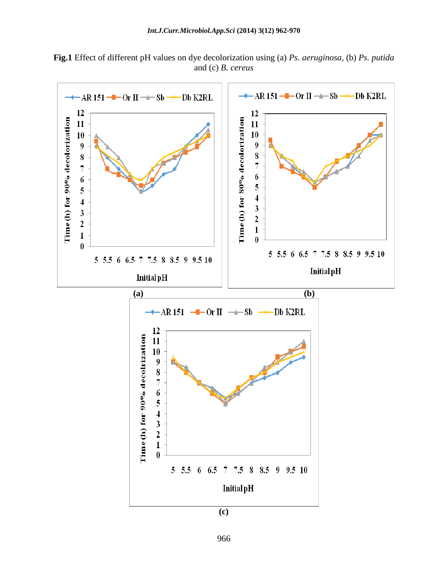



966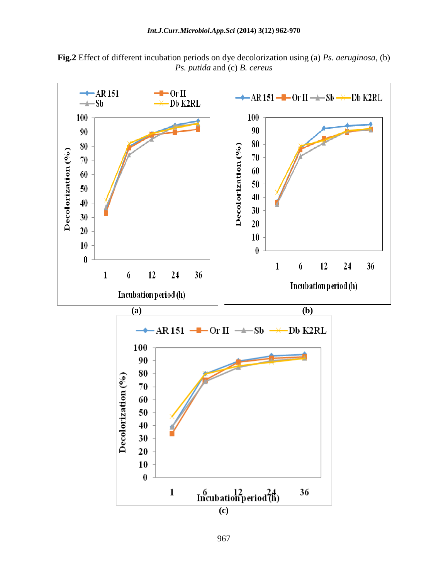

**Fig.2** Effect of different incubation periods on dye decolorization using (a) *Ps. aeruginosa*, (b) *Ps. putida* and (c) *B. cereus*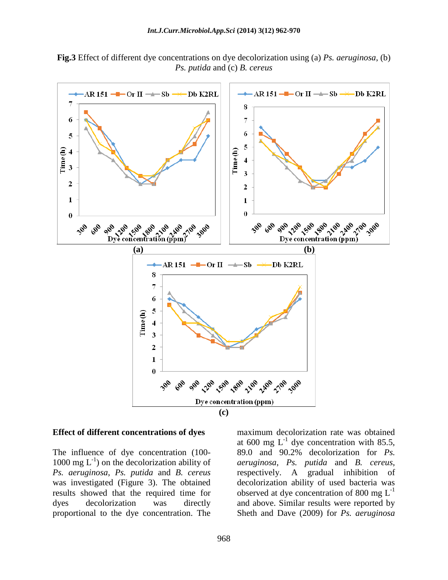**Fig.3** Effect of different dye concentrations on dye decolorization using (a) *Ps. aeruginosa*, (b) *Ps. putida* and (c) *B. cereus*



#### **Effect of different concentrations of dyes**

The influence of dye concentration (100- 1000 mg  $L^{-1}$ ) on the decolorization ability of *Ps. aeruginosa*, *Ps. putida* and *B. cereus*  was investigated (Figure 3). The obtained results showed that the required time for dyes decolorization was directly proportional to the dye concentration. The

maximum decolorization rate was obtained at 600 mg  $L^{-1}$  dye concentration with 85.5, 89.0 and 90.2% decolorization for *Ps. aeruginosa*, *Ps. putida* and *B. cereus*, respectively. A gradual inhibition of decolorization ability of used bacteria was observed at dye concentration of 800 mg  $L^{-1}$ and above. Similar results were reported by Sheth and Dave (2009) for *Ps. aeruginosa*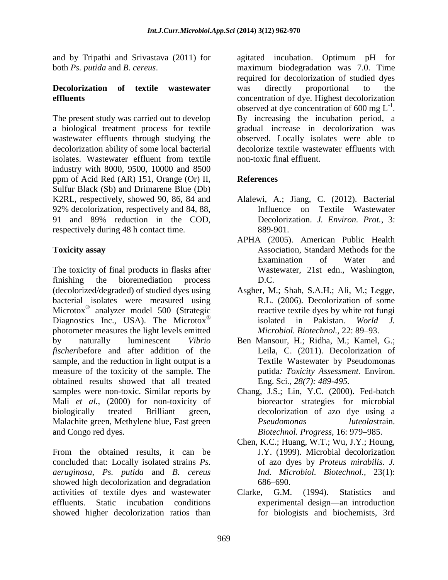and by Tripathi and Srivastava (2011) for both *Ps. putida* and *B. cereus*.

#### **Decolorization of textile wastewater effluents**

The present study was carried out to develop a biological treatment process for textile wastewater effluents through studying the decolorization ability of some local bacterial isolates. Wastewater effluent from textile industry with 8000, 9500, 10000 and 8500 ppm of Acid Red (AR) 151, Orange (Or) II, Sulfur Black (Sb) and Drimarene Blue (Db) K2RL, respectively, showed 90, 86, 84 and 92% decolorization, respectively and 84, 88, 91 and 89% reduction in the COD, respectively during 48 h contact time.

## **Toxicity assay**

The toxicity of final products in flasks after finishing the bioremediation process (decolorized/degraded) of studied dyes using bacterial isolates were measured using Microtox<sup>®</sup> analyzer model 500 (Strategic Diagnostics Inc., USA). The Microtox<sup>®</sup> photometer measures the light levels emitted by naturally luminescent *Vibrio fischeri*before and after addition of the sample, and the reduction in light output is a measure of the toxicity of the sample. The obtained results showed that all treated samples were non-toxic. Similar reports by Mali *et al.,* (2000) for non-toxicity of biologically treated Brilliant green, Malachite green, Methylene blue, Fast green and Congo red dyes.

From the obtained results, it can be concluded that: Locally isolated strains *Ps. aeruginosa*, *Ps. putida* and *B. cereus*  showed high decolorization and degradation activities of textile dyes and wastewater effluents. Static incubation conditions showed higher decolorization ratios than agitated incubation. Optimum pH for maximum biodegradation was 7.0. Time required for decolorization of studied dyes was directly proportional to the concentration of dye. Highest decolorization observed at dye concentration of 600 mg  $L^{-1}$ . By increasing the incubation period, a gradual increase in decolorization was observed. Locally isolates were able to decolorize textile wastewater effluents with non-toxic final effluent.

# **References**

- Alalewi, A.; Jiang, C. (2012). Bacterial Influence on Textile Wastewater Decolorization. *J. Environ. Prot.*, 3: 889-901.
- APHA (2005). American Public Health Association, Standard Methods for the Examination of Water and Wastewater, 21st edn., Washington, D.C.
- Asgher, M.; Shah, S.A.H.; Ali, M.; Legge, R.L. (2006). Decolorization of some reactive textile dyes by white rot fungi isolated in Pakistan. *World J. Microbiol. Biotechnol.,* 22: 89–93.
- Ben Mansour, H.; Ridha, M.; Kamel, G.; Leila, C. (2011). Decolorization of Textile Wastewater by Pseudomonas putida*: Toxicity Assessment.* Environ. Eng. Sci*., 28(7): 489-495.*
- Chang, J.S.; Lin, Y.C. (2000). Fed-batch bioreactor strategies for microbial decolorization of azo dye using a *Pseudomonas luteola*strain. *Biotechnol. Progress,* 16: 979–985.
- Chen, K.C.; Huang, W.T.; Wu, J.Y.; Houng, J.Y. (1999). Microbial decolorization of azo dyes by *Proteus mirabilis*. *J. Ind. Microbiol. Biotechnol.,* 23(1): 686–690.
- Clarke, G.M. (1994). Statistics and experimental design—an introduction for biologists and biochemists, 3rd